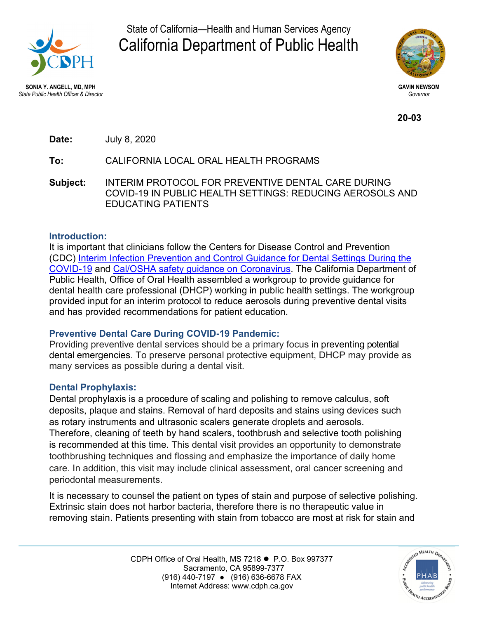

State of California—Health and Human Services Agency California Department of Public Health



 *State Public Health Officer & Director Governor* 

**20-03**

**Date:** July 8, 2020

# **To:** CALIFORNIA LOCAL ORAL HEALTH PROGRAMS

**Subject:** INTERIM PROTOCOL FOR PREVENTIVE DENTAL CARE DURING COVID-19 IN PUBLIC HEALTH SETTINGS: REDUCING AEROSOLS AND EDUCATING PATIENTS

### **Introduction:**

It is important that clinicians follow the Centers for Disease Control and Prevention (CDC) Interim Infection Prevention and Control Guidance for Dental Settings During the COVID-19 [and Cal/OSHA safety guidance on Coronavirus. The California Department o](https://www.cdc.gov/coronavirus/2019-ncov/hcp/dental-settings.html)f Public Health, Office of Oral Health assembled a workgroup to provide guidance for dental health care professional (DHCP) working in public health settings. The workgroup provided input for an interim protocol to reduce aerosols during preventive dental visits and has provided recommendations for patient education.

### **Preventive Dental Care During COVID-19 Pandemic:**

Providing preventive dental services should be a primary focus in preventing potential dental emergencies. To preserve personal protective equipment, DHCP may provide as many services as possible during a dental visit.

# **Dental Prophylaxis:**

Dental prophylaxis is a procedure of scaling and polishing to remove calculus, soft deposits, plaque and stains. Removal of hard deposits and stains using devices such as rotary instruments and ultrasonic scalers generate droplets and aerosols. Therefore, cleaning of teeth by hand scalers, toothbrush and selective tooth polishing is recommended at this time. This dental visit provides an opportunity to demonstrate toothbrushing techniques and flossing and emphasize the importance of daily home care. In addition, this visit may include clinical assessment, oral cancer screening and periodontal measurements.

It is necessary to counsel the patient on types of stain and purpose of selective polishing. Extrinsic stain does not harbor bacteria, therefore there is no therapeutic value in removing stain. Patients presenting with stain from tobacco are most at risk for stain and

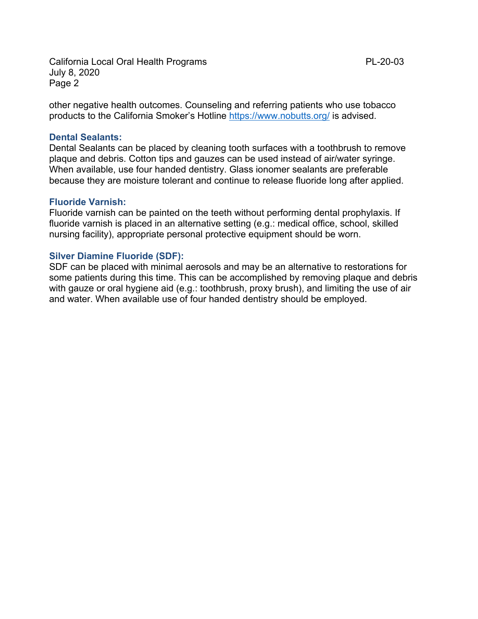other negative health outcomes. Counseling and referring patients who use tobacco products to the California Smoker's Hotline https://www.nobutts.org/ is advised.

#### **Dental Sealants:**

Dental Sealants can be placed by cleaning tooth surfaces with a toothbrush to remove plaque and debris. Cotton tips and gauzes can be used instead of air/water syringe. When available, use four handed dentistry. Glass ionomer sealants are preferable because they are moisture tolerant and continue to release fluoride long after applied.

#### **Fluoride Varnish:**

Fluoride varnish can be painted on the teeth without performing dental prophylaxis. If fluoride varnish is placed in an alternative setting (e.g.: medical office, school, skilled nursing facility), appropriate personal protective equipment should be worn.

#### **Silver Diamine Fluoride (SDF):**

SDF can be placed with minimal aerosols and may be an alternative to restorations for some patients during this time. This can be accomplished by removing plaque and debris with gauze or oral hygiene aid (e.g.: toothbrush, proxy brush), and limiting the use of air and water. When available use of four handed dentistry should be employed.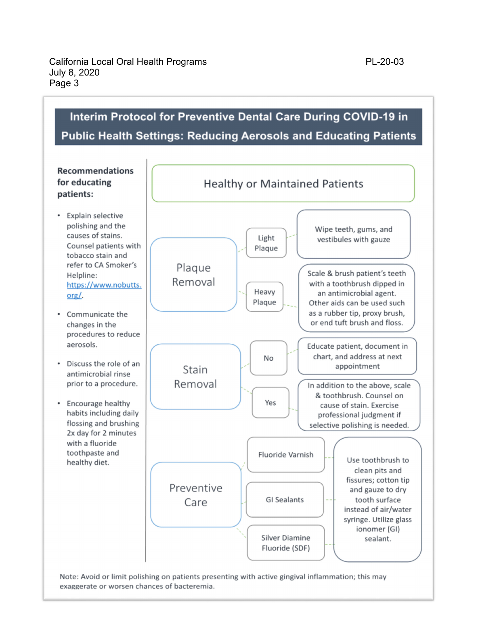# Interim Protocol for Preventive Dental Care During COVID-19 in **Public Health Settings: Reducing Aerosols and Educating Patients**



Note: Avoid or limit polishing on patients presenting with active gingival inflammation; this may exaggerate or worsen chances of bacteremia.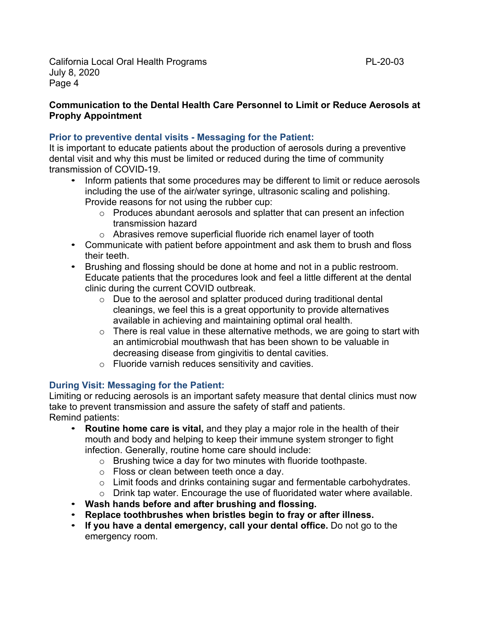## **Communication to the Dental Health Care Personnel to Limit or Reduce Aerosols at Prophy Appointment**

## **Prior to preventive dental visits - Messaging for the Patient:**

It is important to educate patients about the production of aerosols during a preventive dental visit and why this must be limited or reduced during the time of community transmission of COVID-19.

- Inform patients that some procedures may be different to limit or reduce aerosols including the use of the air/water syringe, ultrasonic scaling and polishing. Provide reasons for not using the rubber cup:
	- o Produces abundant aerosols and splatter that can present an infection transmission hazard
	- o Abrasives remove superficial fluoride rich enamel layer of tooth
- Communicate with patient before appointment and ask them to brush and floss their teeth.
- Brushing and flossing should be done at home and not in a public restroom. Educate patients that the procedures look and feel a little different at the dental clinic during the current COVID outbreak.
	- o Due to the aerosol and splatter produced during traditional dental cleanings, we feel this is a great opportunity to provide alternatives available in achieving and maintaining optimal oral health.
	- $\circ$  There is real value in these alternative methods, we are going to start with an antimicrobial mouthwash that has been shown to be valuable in decreasing disease from gingivitis to dental cavities.
	- o Fluoride varnish reduces sensitivity and cavities.

# **During Visit: Messaging for the Patient:**

Limiting or reducing aerosols is an important safety measure that dental clinics must now take to prevent transmission and assure the safety of staff and patients. Remind patients:

- **Routine home care is vital,** and they play a major role in the health of their mouth and body and helping to keep their immune system stronger to fight infection. Generally, routine home care should include:
	- o Brushing twice a day for two minutes with fluoride toothpaste.
	- o Floss or clean between teeth once a day.
	- o Limit foods and drinks containing sugar and fermentable carbohydrates.
	- o Drink tap water. Encourage the use of fluoridated water where available.
- **Wash hands before and after brushing and flossing.**
- **Replace toothbrushes when bristles begin to fray or after illness.**
- **If you have a dental emergency, call your dental office.** Do not go to the emergency room.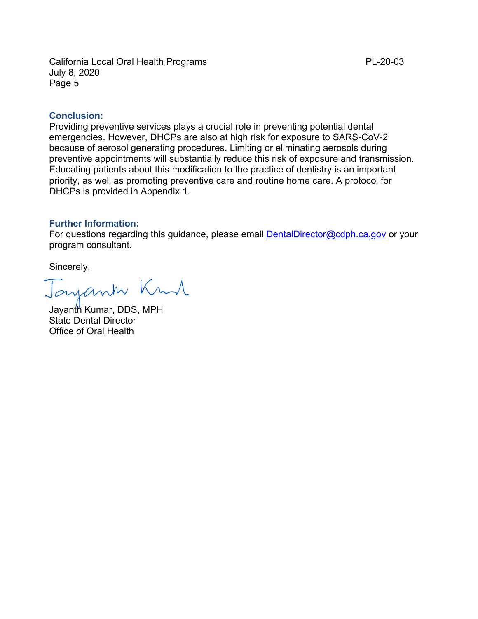#### **Conclusion:**

Providing preventive services plays a crucial role in preventing potential dental emergencies. However, DHCPs are also at high risk for exposure to SARS-CoV-2 because of aerosol generating procedures. Limiting or eliminating aerosols during preventive appointments will substantially reduce this risk of exposure and transmission. Educating patients about this modification to the practice of dentistry is an important priority, as well as promoting preventive care and routine home care. A protocol for DHCPs is provided in Appendix 1.

#### **Further Information:**

For questions regarding this guidance, please email DentalDirector@cdph.ca.gov or your program consultant.

Sincerely,

Jayank Knd

Jayanth Kumar, DDS, MPH State Dental Director Office of Oral Health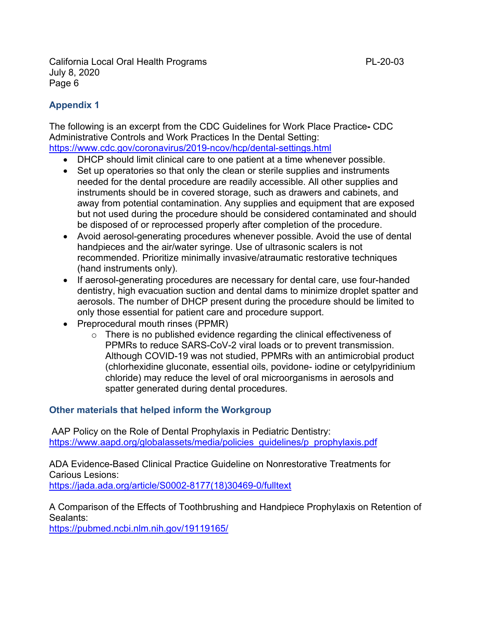# **Appendix 1**

The following is an excerpt from the CDC Guidelines for Work Place Practice**-** CDC Administrative Controls and Work Practices In the Dental Setting: https://www.cdc.gov/coronavirus/2019-ncov/hcp/dental-settings.html

- DHCP should limit clinical care to one patient at a time whenever possible.
- Set up operatories so that only the clean or sterile supplies and instruments needed for the dental procedure are readily accessible. All other supplies and instruments should be in covered storage, such as drawers and cabinets, and away from potential contamination. Any supplies and equipment that are exposed but not used during the procedure should be considered contaminated and should be disposed of or reprocessed properly after completion of the procedure.
- Avoid aerosol-generating procedures whenever possible. Avoid the use of dental handpieces and the air/water syringe. Use of ultrasonic scalers is not recommended. Prioritize minimally invasive/atraumatic restorative techniques (hand instruments only).
- If aerosol-generating procedures are necessary for dental care, use four-handed dentistry, high evacuation suction and dental dams to minimize droplet spatter and aerosols. The number of DHCP present during the procedure should be limited to only those essential for patient care and procedure support.
- Preprocedural mouth rinses (PPMR)
	- o There is no published evidence regarding the clinical effectiveness of PPMRs to reduce SARS-CoV-2 viral loads or to prevent transmission. Although COVID-19 was not studied, PPMRs with an antimicrobial product (chlorhexidine gluconate, essential oils, povidone- iodine or cetylpyridinium chloride) may reduce the level of oral microorganisms in aerosols and spatter generated during dental procedures.

# **Other materials that helped inform the Workgroup**

 AAP Policy on the Role of Dental Prophylaxis in Pediatric Dentistry: https://www.aapd.org/globalassets/media/policies\_guidelines/p\_prophylaxis.pdf

ADA Evidence-Based Clinical Practice Guideline on Nonrestorative Treatments for Carious Lesions: [https://jada.ada.org/article/S0002-8177\(18\)30469-0/fulltext](https://jada.ada.org/article/S0002-8177(18)30469-0/fulltext)

A Comparison of the Effects of Toothbrushing and Handpiece Prophylaxis on Retention of Sealants:

https://pubmed.ncbi.nlm.nih.gov/19119165/